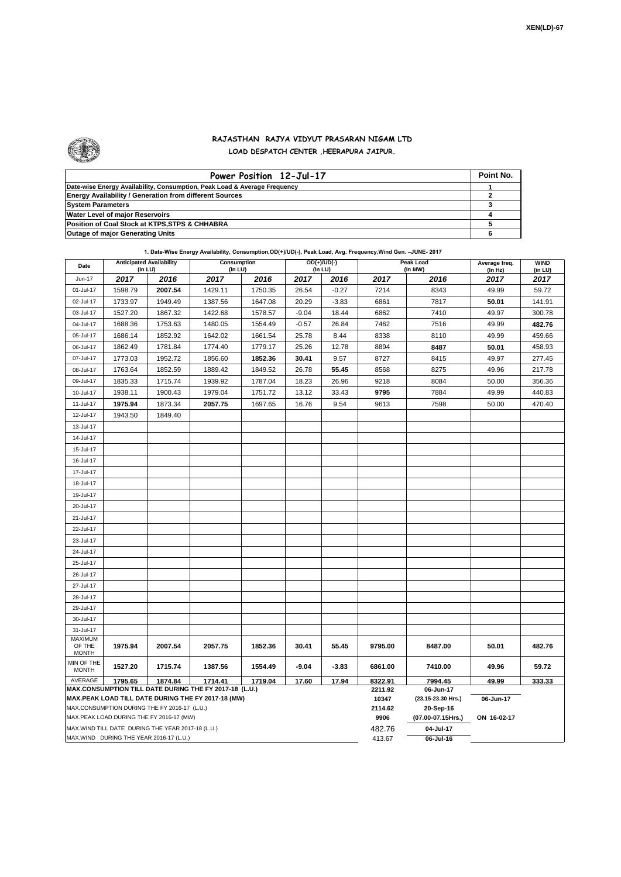$\overline{\phantom{0}}$ 



## **RAJASTHAN RAJYA VIDYUT PRASARAN NIGAM LTD LOAD DESPATCH CENTER ,HEERAPURA JAIPUR.**

| Power Position 12-Jul-17                                                  | Point No. |  |  |  |  |  |  |
|---------------------------------------------------------------------------|-----------|--|--|--|--|--|--|
| Date-wise Energy Availability, Consumption, Peak Load & Average Frequency |           |  |  |  |  |  |  |
| <b>Energy Availability / Generation from different Sources</b>            |           |  |  |  |  |  |  |
| <b>System Parameters</b>                                                  |           |  |  |  |  |  |  |
| Water Level of major Reservoirs                                           |           |  |  |  |  |  |  |
| Position of Coal Stock at KTPS, STPS & CHHABRA                            |           |  |  |  |  |  |  |
| <b>Outage of major Generating Units</b>                                   |           |  |  |  |  |  |  |

| Date                                                                                               | <b>Anticipated Availability</b><br>(In LU) |                                                   | <b>Consumption</b><br>(In LU) |         | OD(+)/UD(-)<br>(In LU) |                  | <b>Peak Load</b><br>(In MW)     |             | Average freq.<br>(ln Hz) | <b>WIND</b><br>(in LU) |  |  |
|----------------------------------------------------------------------------------------------------|--------------------------------------------|---------------------------------------------------|-------------------------------|---------|------------------------|------------------|---------------------------------|-------------|--------------------------|------------------------|--|--|
| Jun-17                                                                                             | 2017                                       | 2016                                              | 2017                          | 2016    | 2017                   | 2016             | 2017                            | 2016        | 2017                     | 2017                   |  |  |
| 01-Jul-17                                                                                          | 1598.79                                    | 2007.54                                           | 1429.11                       | 1750.35 | 26.54                  | $-0.27$          | 7214                            | 8343        | 49.99                    | 59.72                  |  |  |
| 02-Jul-17                                                                                          | 1733.97                                    | 1949.49                                           | 1387.56                       | 1647.08 | 20.29                  | $-3.83$          | 6861                            | 7817        | 50.01                    | 141.91                 |  |  |
| 03-Jul-17                                                                                          | 1527.20                                    | 1867.32                                           | 1422.68                       | 1578.57 | $-9.04$                | 18.44            | 6862                            | 7410        | 49.97                    | 300.78                 |  |  |
| 04-Jul-17                                                                                          | 1688.36                                    | 1753.63                                           | 1480.05                       | 1554.49 | $-0.57$                | 26.84            | 7462                            | 7516        | 49.99                    | 482.76                 |  |  |
| 05-Jul-17                                                                                          | 1686.14                                    | 1852.92                                           | 1642.02                       | 1661.54 | 25.78                  | 8.44             | 8338                            | 8110        | 49.99                    | 459.66                 |  |  |
| 06-Jul-17                                                                                          | 1862.49                                    | 1781.84                                           | 1774.40                       | 1779.17 | 25.26                  | 12.78            | 8894                            | 8487        | 50.01                    | 458.93                 |  |  |
| 07-Jul-17                                                                                          | 1773.03                                    | 1952.72                                           | 1856.60                       | 1852.36 | 30.41                  | 9.57             | 8727                            | 8415        | 49.97                    | 277.45                 |  |  |
| 08-Jul-17                                                                                          | 1763.64                                    | 1852.59                                           | 1889.42                       | 1849.52 | 26.78                  | 55.45            | 8568                            | 8275        | 49.96                    | 217.78                 |  |  |
| 09-Jul-17                                                                                          | 1835.33                                    | 1715.74                                           | 1939.92                       | 1787.04 | 18.23                  | 26.96            | 9218                            | 8084        | 50.00                    | 356.36                 |  |  |
| 10-Jul-17                                                                                          | 1938.11                                    | 1900.43                                           | 1979.04                       | 1751.72 | 13.12                  | 33.43            | 9795                            | 7884        | 49.99                    | 440.83                 |  |  |
| 11-Jul-17                                                                                          | 1975.94                                    | 1873.34                                           | 2057.75                       | 1697.65 | 16.76                  | 9.54             | 9613                            | 7598        | 50.00                    | 470.40                 |  |  |
| 12-Jul-17                                                                                          | 1943.50                                    | 1849.40                                           |                               |         |                        |                  |                                 |             |                          |                        |  |  |
| 13-Jul-17                                                                                          |                                            |                                                   |                               |         |                        |                  |                                 |             |                          |                        |  |  |
| 14-Jul-17                                                                                          |                                            |                                                   |                               |         |                        |                  |                                 |             |                          |                        |  |  |
| 15-Jul-17                                                                                          |                                            |                                                   |                               |         |                        |                  |                                 |             |                          |                        |  |  |
| 16-Jul-17                                                                                          |                                            |                                                   |                               |         |                        |                  |                                 |             |                          |                        |  |  |
| 17-Jul-17                                                                                          |                                            |                                                   |                               |         |                        |                  |                                 |             |                          |                        |  |  |
| 18-Jul-17                                                                                          |                                            |                                                   |                               |         |                        |                  |                                 |             |                          |                        |  |  |
| 19-Jul-17                                                                                          |                                            |                                                   |                               |         |                        |                  |                                 |             |                          |                        |  |  |
| 20-Jul-17                                                                                          |                                            |                                                   |                               |         |                        |                  |                                 |             |                          |                        |  |  |
| 21-Jul-17                                                                                          |                                            |                                                   |                               |         |                        |                  |                                 |             |                          |                        |  |  |
| 22-Jul-17                                                                                          |                                            |                                                   |                               |         |                        |                  |                                 |             |                          |                        |  |  |
| 23-Jul-17                                                                                          |                                            |                                                   |                               |         |                        |                  |                                 |             |                          |                        |  |  |
| 24-Jul-17                                                                                          |                                            |                                                   |                               |         |                        |                  |                                 |             |                          |                        |  |  |
| 25-Jul-17                                                                                          |                                            |                                                   |                               |         |                        |                  |                                 |             |                          |                        |  |  |
| 26-Jul-17                                                                                          |                                            |                                                   |                               |         |                        |                  |                                 |             |                          |                        |  |  |
| 27-Jul-17                                                                                          |                                            |                                                   |                               |         |                        |                  |                                 |             |                          |                        |  |  |
| 28-Jul-17                                                                                          |                                            |                                                   |                               |         |                        |                  |                                 |             |                          |                        |  |  |
| 29-Jul-17                                                                                          |                                            |                                                   |                               |         |                        |                  |                                 |             |                          |                        |  |  |
| 30-Jul-17                                                                                          |                                            |                                                   |                               |         |                        |                  |                                 |             |                          |                        |  |  |
| 31-Jul-17                                                                                          |                                            |                                                   |                               |         |                        |                  |                                 |             |                          |                        |  |  |
| <b>MAXIMUM</b><br>OF THE                                                                           | 1975.94                                    | 2007.54                                           | 2057.75                       | 1852.36 | 30.41                  | 55.45            | 9795.00                         | 8487.00     | 50.01                    | 482.76                 |  |  |
| <b>MONTH</b>                                                                                       |                                            |                                                   |                               |         |                        |                  |                                 |             |                          |                        |  |  |
| MIN OF THE<br><b>MONTH</b>                                                                         | 1527.20                                    | 1715.74                                           | 1387.56                       | 1554.49 | $-9.04$                | $-3.83$          | 6861.00                         | 7410.00     | 49.96                    | 59.72                  |  |  |
| AVERAGE                                                                                            | 1795.65                                    | 1874.84                                           | 1714.41                       | 1719.04 | 17.60                  | 17.94            | 8322.91                         | 7994.45     | 49.99                    | 333.33                 |  |  |
| MAX.CONSUMPTION TILL DATE DURING THE FY 2017-18 (L.U.)                                             |                                            |                                                   |                               |         |                        | 2211.92          | 06-Jun-17                       |             |                          |                        |  |  |
| MAX.PEAK LOAD TILL DATE DURING THE FY 2017-18 (MW)<br>MAX.CONSUMPTION DURING THE FY 2016-17 (L.U.) |                                            |                                                   |                               |         |                        | 10347<br>2114.62 | (23.15-23.30 Hrs.)<br>20-Sep-16 | 06-Jun-17   |                          |                        |  |  |
| MAX.PEAK LOAD DURING THE FY 2016-17 (MW)                                                           |                                            |                                                   |                               |         |                        | 9906             | (07.00-07.15Hrs.)               | ON 16-02-17 |                          |                        |  |  |
|                                                                                                    |                                            | MAX.WIND TILL DATE DURING THE YEAR 2017-18 (L.U.) |                               |         |                        |                  | 482.76                          | 04-Jul-17   |                          |                        |  |  |
| MAX.WIND DURING THE YEAR 2016-17 (L.U.)                                                            |                                            |                                                   |                               |         |                        |                  | 413.67                          | 06-Jul-16   |                          |                        |  |  |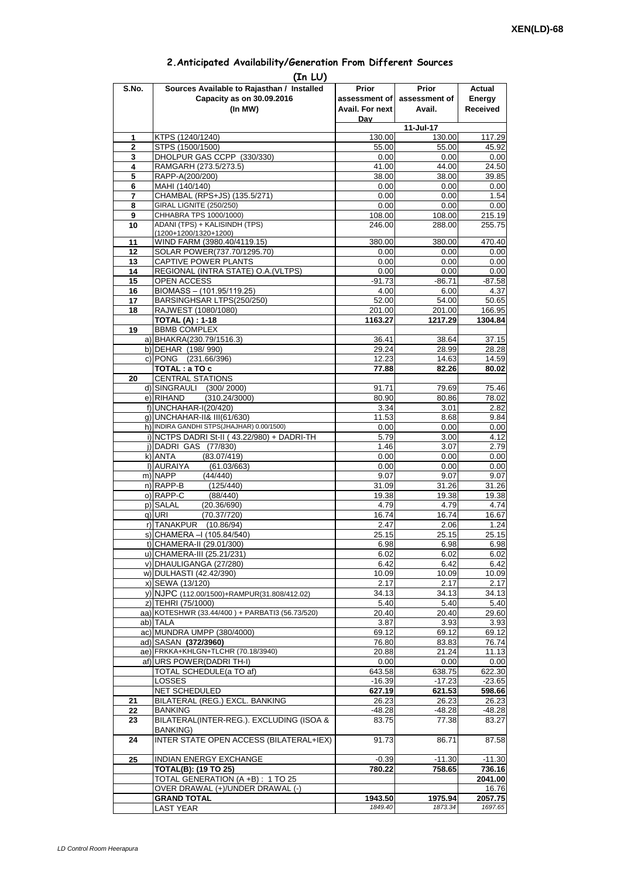| 2. Anticipated Availability/Generation From Different Sources |  |  |  |
|---------------------------------------------------------------|--|--|--|
|                                                               |  |  |  |

| S.No.        | (In LU)<br>Sources Available to Rajasthan / Installed                | <b>Prior</b>      | <b>Prior</b>   | Actual           |  |
|--------------|----------------------------------------------------------------------|-------------------|----------------|------------------|--|
|              | Capacity as on 30.09.2016                                            | assessment of     | assessment of  | Energy           |  |
|              | (In MW)                                                              | Avail. For next   | Avail.         | Received         |  |
|              |                                                                      | Dav               |                |                  |  |
|              |                                                                      |                   | 11-Jul-17      |                  |  |
| 1            | KTPS (1240/1240)                                                     | 130.00            | 130.00         | 117.29           |  |
| $\mathbf{2}$ | STPS (1500/1500)                                                     | 55.00             | 55.00          | 45.92            |  |
| 3<br>4       | DHOLPUR GAS CCPP (330/330)                                           | 0.00              | 0.00           | 0.00             |  |
| 5            | RAMGARH (273.5/273.5)<br>RAPP-A(200/200)                             | 41.00<br>38.00    | 44.00<br>38.00 | 24.50<br>39.85   |  |
| 6            | MAHI (140/140)                                                       | 0.00              | 0.00           | 0.00             |  |
| 7            | CHAMBAL (RPS+JS) (135.5/271)                                         | 0.00              | 0.00           | 1.54             |  |
| 8            | GIRAL LIGNITE (250/250)                                              | 0.00              | 0.00           | 0.00             |  |
| 9            | CHHABRA TPS 1000/1000)                                               | 108.00            | 108.00         | 215.19           |  |
| 10           | ADANI (TPS) + KALISINDH (TPS)                                        | 246.00            | 288.00         | 255.75           |  |
| 11           | (1200+1200/1320+1200)<br>WIND FARM (3980.40/4119.15)                 | 380.00            | 380.00         | 470.40           |  |
| 12           | SOLAR POWER(737.70/1295.70)                                          | 0.00              | 0.00           | 0.00             |  |
| 13           | CAPTIVE POWER PLANTS                                                 | 0.00              | 0.00           | 0.00             |  |
| 14           | REGIONAL (INTRA STATE) O.A. (VLTPS)                                  | 0.00              | 0.00           | 0.00             |  |
| 15           | OPEN ACCESS                                                          | $-91.73$          | $-86.71$       | $-87.58$         |  |
| 16           | BIOMASS - (101.95/119.25)                                            | 4.00              | 6.00           | 4.37             |  |
| 17           | BARSINGHSAR LTPS(250/250)                                            | 52.00             | 54.00          | 50.65            |  |
| 18           | RAJWEST (1080/1080)                                                  | 201.00            | 201.00         | 166.95           |  |
|              | <b>TOTAL (A): 1-18</b>                                               | 1163.27           | 1217.29        | 1304.84          |  |
| 19           | <b>BBMB COMPLEX</b><br>a) BHAKRA(230.79/1516.3)                      | 36.41             | 38.64          | 37.15            |  |
|              | b) DEHAR (198/990)                                                   | 29.24             | 28.99          | 28.28            |  |
|              | c) PONG (231.66/396)                                                 | 12.23             | 14.63          | 14.59            |  |
|              | TOTAL: a TO c                                                        | 77.88             | 82.26          | 80.02            |  |
| 20           | <b>CENTRAL STATIONS</b>                                              |                   |                |                  |  |
|              | d) SINGRAULI (300/2000)                                              | 91.71             | 79.69          | 75.46            |  |
|              | e) RIHAND<br>(310.24/3000)                                           | 80.90             | 80.86          | 78.02            |  |
|              | f) UNCHAHAR-I(20/420)                                                | 3.34              | 3.01           | 2.82             |  |
|              | g) UNCHAHAR-II& III(61/630)                                          | 11.53             | 8.68           | 9.84             |  |
|              | h) INDIRA GANDHI STPS(JHAJHAR) 0.00/1500)                            | 0.00              | 0.00           | 0.00             |  |
|              | i) NCTPS DADRI St-II (43.22/980) + DADRI-TH<br>j) DADRI GAS (77/830) | 5.79<br>1.46      | 3.00<br>3.07   | 4.12<br>2.79     |  |
|              | k) ANTA<br>(83.07/419)                                               | 0.00              | 0.00           | 0.00             |  |
|              | I) AURAIYA<br>(61.03/663)                                            | 0.00              | 0.00           | 0.00             |  |
|              | m) NAPP<br>(44/440)                                                  | 9.07              | 9.07           | 9.07             |  |
|              | n) RAPP-B<br>(125/440)                                               | 31.09             | 31.26          | 31.26            |  |
|              | o) RAPP-C<br>(88/440)                                                | 19.38             | 19.38          | 19.38            |  |
|              | p) SALAL<br>(20.36/690)                                              | 4.79              | 4.79           | 4.74             |  |
|              | (70.37/720)<br>g) URI                                                | 16.74             | 16.74          | 16.67            |  |
|              | r) TANAKPUR (10.86/94)                                               | 2.47              | 2.06           | 1.24             |  |
|              | s) CHAMERA - (105.84/540)                                            | 25.15             | 25.15          | 25.15            |  |
|              | t) CHAMERA-II (29.01/300)<br>u) CHAMERA-III (25.21/231)              | 6.98<br>6.02      | 6.98<br>6.02   | 6.98<br>6.02     |  |
|              | v) DHAULIGANGA (27/280)                                              | 6.42              | 6.42           | 6.42             |  |
|              | w) DULHASTI (42.42/390)                                              | 10.09             | 10.09          | 10.09            |  |
|              | x) SEWA (13/120)                                                     | 2.17              | 2.17           | 2.17             |  |
|              | y) NJPC (112.00/1500)+RAMPUR(31.808/412.02)                          | 34.13             | 34.13          | 34.13            |  |
|              | z) TEHRI (75/1000)                                                   | 5.40              | 5.40           | 5.40             |  |
|              | aa) KOTESHWR (33.44/400) + PARBATI3 (56.73/520)                      | 20.40             | 20.40          | 29.60            |  |
|              | ab) TALA                                                             | 3.87              | 3.93           | 3.93             |  |
|              | ac) MUNDRA UMPP (380/4000)                                           | 69.12             | 69.12          | 69.12            |  |
|              | ad) SASAN (372/3960)<br>ae) FRKKA+KHLGN+TLCHR (70.18/3940)           | 76.80<br>20.88    | 83.83          | 76.74<br>11.13   |  |
|              | af) URS POWER(DADRI TH-I)                                            | 0.00              | 21.24<br>0.00  | 0.00             |  |
|              | TOTAL SCHEDULE(a TO af)                                              | 643.58            | 638.75         | 622.30           |  |
|              | LOSSES                                                               | $-16.39$          | $-17.23$       | $-23.65$         |  |
|              | NET SCHEDULED                                                        | 627.19            | 621.53         | 598.66           |  |
| 21           | BILATERAL (REG.) EXCL. BANKING                                       | 26.23             | 26.23          | 26.23            |  |
| 22           | <b>BANKING</b>                                                       | -48.28            | $-48.28$       | $-48.28$         |  |
| 23           | BILATERAL(INTER-REG.). EXCLUDING (ISOA &                             | 83.75             | 77.38          | 83.27            |  |
|              | <b>BANKING)</b>                                                      |                   |                |                  |  |
| 24           | INTER STATE OPEN ACCESS (BILATERAL+IEX)                              | 91.73             | 86.71          | 87.58            |  |
|              |                                                                      |                   |                |                  |  |
| 25           | <b>INDIAN ENERGY EXCHANGE</b><br><b>TOTAL(B): (19 TO 25)</b>         | $-0.39$<br>780.22 | $-11.30$       | $-11.30$         |  |
|              |                                                                      |                   | 758.65         | 736.16           |  |
|              |                                                                      |                   |                |                  |  |
|              | TOTAL GENERATION (A +B) : 1 TO 25                                    |                   |                | 2041.00          |  |
|              | OVER DRAWAL (+)/UNDER DRAWAL (-)<br><b>GRAND TOTAL</b>               | 1943.50           | 1975.94        | 16.76<br>2057.75 |  |